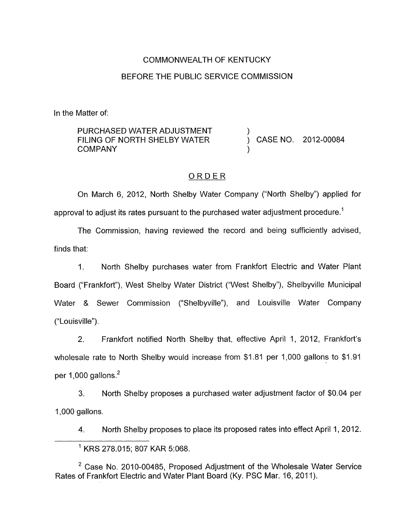# COMMONWEALTH OF KENTUCKY BEFORE THE PUBLIC SERVICE COMMISSION

In the Matter of:

| PURCHASED WATER ADJUSTMENT   |  |                     |
|------------------------------|--|---------------------|
| FILING OF NORTH SHELBY WATER |  | CASE NO. 2012-00084 |
| COMPANY                      |  |                     |

### ORDER

On March 6, 2012, North Shelby Water Company ("North Shelby") applied for approval to adjust its rates pursuant to the purchased water adjustment procedure.<sup>1</sup>

The Commission, having reviewed the record and being sufficiently advised, finds that:

I. North Shelby purchases water from Frankfort Electric and Water Plant Board ("Frankfort"), West Shelby Water District ("West Shelby"), Shelbyville Municipal Water & Sewer Commission ("Shelbyville"), and Louisville Water Company ("Louisville").

2. Frankfort notified North Shelby that, effective April 1, 2012, Frankfort's wholesale rate to North Shelby would increase from \$1.81 per 1,000 gallons to \$1.91 per 1,000 gallons. $<sup>2</sup>$ </sup>

**3.** North Shelby proposes a purchased water adjustment factor of \$0.04 per 1,000 gallons.

4. North Shelby proposes to place its proposed rates into effect April 1, 2012.

 $2$  Case No. 2010-00485, Proposed Adjustment of the Wholesale Water Service Rates of Frankfort Electric and Water Plant Board (Ky. PSC Mar. 16, 2011).

KRS 278.015; 807 KAR 5:068.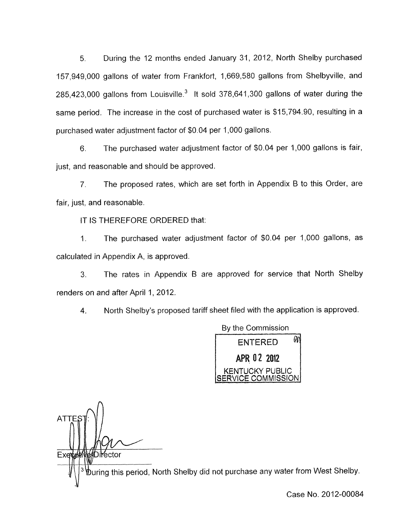5. During the 12 months ended January 31, 2012, North Shelby purchased 157,949,OOO gallons of water from Frankfort, 1,669,580 gallons from Shelbyville, and  $285,423,000$  gallons from Louisville.<sup>3</sup> It sold  $378,641,300$  gallons of water during the same period. The increase in the cost of purchased water is \$15,794.90, resulting in a purchased water adjustment factor of \$0,04 per 1,000 gallons.

6. The purchased water adjustment factor of \$0.04 per 1,000 gallons is fair, just, and reasonable and should be approved.

7. The proposed rates, which are set forth in Appendix B to this Order, are fair, just, and reasonable.

IT IS THEREFORE ORDERED that:

1. The purchased water adjustment factor of \$0.04 per 1,000 gallons, as calculated in Appendix A, is approved.

3. 'The rates in Appendix B are approved for service that North Shelby renders on and after April 1, 2012.

4. North Shelby's proposed tariff sheet filed with the application is approved.



**ATTE** Exett )i**Y**ector

 $\Phi$ uring this period, North Shelby did not purchase any water from West Shelby.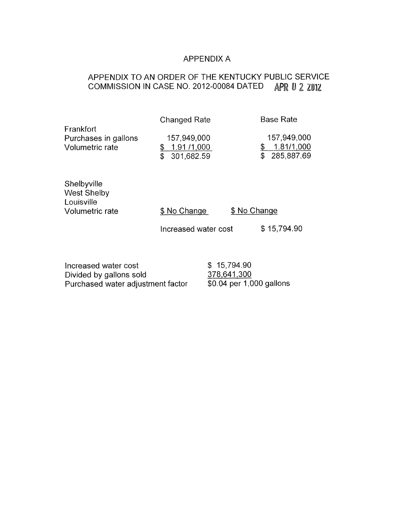### APPENDIX A

# APPENDIX TO AN ORDER OF THE KENTUCKY PUBLIC SERVICE COMMISSION IN CASE NO. 2012-00084 DATED **APR U 2 2U12**

|                                                                    | <b>Changed Rate</b>                           | <b>Base Rate</b>                                    |
|--------------------------------------------------------------------|-----------------------------------------------|-----------------------------------------------------|
| Frankfort<br>Purchases in gallons<br>Volumetric rate               | 157,949,000<br>1.91/1,000<br>301,682.59<br>\$ | 157,949,000<br>1.81/1,000<br>\$<br>\$<br>285,887.69 |
| Shelbyville<br><b>West Shelby</b><br>Louisville<br>Volumetric rate | \$ No Change                                  | \$ No Change                                        |
|                                                                    | Increased water cost                          | \$15,794.90                                         |

| Increased water cost              | \$15,794.90               |
|-----------------------------------|---------------------------|
| Divided by gallons sold           | 378,641,300               |
| Purchased water adjustment factor | $$0.04$ per 1,000 gallons |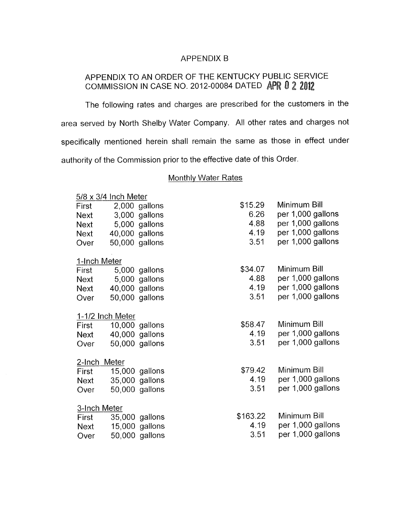#### APPENDIX B

## APPENDIX TO AN ORDER OF THE KENTUCKY PUBLIC SERVICE COMMISSION IN CASE NO. 2012-00084 DATED APR 0 2 2012

The following rates and charges are prescribed for the customers in the area served by North Shelby Water Company. All other rates and charges not specifically mentioned herein shall remain the same as those in effect under authority of the Commission prior to the effective date of this Order.

#### Monthlv Water Rates

| $5/8 \times 3/4$ Inch Meter |                  |                |          |                   |
|-----------------------------|------------------|----------------|----------|-------------------|
| First                       |                  | 2,000 gallons  | \$15.29  | Minimum Bill      |
| <b>Next</b>                 |                  | 3,000 gallons  | 6.26     | per 1,000 gallons |
| Next                        |                  | 5,000 gallons  | 4.88     | per 1,000 gallons |
| Next                        |                  | 40,000 gallons | 4.19     | per 1,000 gallons |
| Over                        |                  | 50,000 gallons | 3.51     | per 1,000 gallons |
|                             |                  |                |          |                   |
| 1-Inch Meter                |                  |                |          |                   |
| First                       |                  | 5,000 gallons  | \$34.07  | Minimum Bill      |
| Next                        |                  | 5,000 gallons  | 4.88     | per 1,000 gallons |
| Next                        |                  | 40,000 gallons | 4.19     | per 1,000 gallons |
| Over                        |                  | 50,000 gallons | 3.51     | per 1,000 gallons |
|                             |                  |                |          |                   |
|                             | 1-1/2 Inch Meter |                |          |                   |
| First                       |                  | 10,000 gallons | \$58.47  | Minimum Bill      |
| Next                        |                  | 40,000 gallons | 4.19     | per 1,000 gallons |
| Over                        |                  | 50,000 gallons | 3.51     | per 1,000 gallons |
|                             |                  |                |          |                   |
| 2-Inch Meter                |                  |                |          |                   |
| First                       |                  | 15,000 gallons | \$79.42  | Minimum Bill      |
| Next                        |                  | 35,000 gallons | 4.19     | per 1,000 gallons |
| Over                        |                  | 50,000 gallons | 3.51     | per 1,000 gallons |
|                             |                  |                |          |                   |
| 3-Inch Meter                |                  |                |          |                   |
| First                       |                  | 35,000 gallons | \$163.22 | Minimum Bill      |
| Next                        |                  | 15,000 gallons | 4.19     | per 1,000 gallons |
| Over                        |                  | 50,000 gallons | 3.51     | per 1,000 gallons |